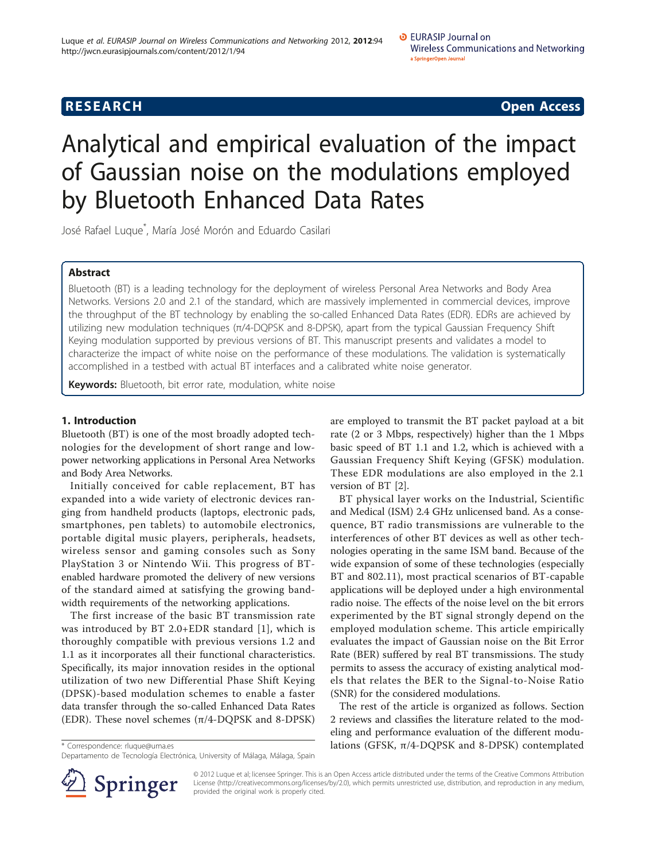# **RESEARCH CONSTRUCTION CONSTRUCTS**

# Analytical and empirical evaluation of the impact of Gaussian noise on the modulations employed by Bluetooth Enhanced Data Rates

José Rafael Luque\* , María José Morón and Eduardo Casilari

# Abstract

Bluetooth (BT) is a leading technology for the deployment of wireless Personal Area Networks and Body Area Networks. Versions 2.0 and 2.1 of the standard, which are massively implemented in commercial devices, improve the throughput of the BT technology by enabling the so-called Enhanced Data Rates (EDR). EDRs are achieved by utilizing new modulation techniques (π/4-DQPSK and 8-DPSK), apart from the typical Gaussian Frequency Shift Keying modulation supported by previous versions of BT. This manuscript presents and validates a model to characterize the impact of white noise on the performance of these modulations. The validation is systematically accomplished in a testbed with actual BT interfaces and a calibrated white noise generator.

Keywords: Bluetooth, bit error rate, modulation, white noise

# 1. Introduction

Bluetooth (BT) is one of the most broadly adopted technologies for the development of short range and lowpower networking applications in Personal Area Networks and Body Area Networks.

Initially conceived for cable replacement, BT has expanded into a wide variety of electronic devices ranging from handheld products (laptops, electronic pads, smartphones, pen tablets) to automobile electronics, portable digital music players, peripherals, headsets, wireless sensor and gaming consoles such as Sony PlayStation 3 or Nintendo Wii. This progress of BTenabled hardware promoted the delivery of new versions of the standard aimed at satisfying the growing bandwidth requirements of the networking applications.

The first increase of the basic BT transmission rate was introduced by BT 2.0+EDR standard [[1\]](#page-9-0), which is thoroughly compatible with previous versions 1.2 and 1.1 as it incorporates all their functional characteristics. Specifically, its major innovation resides in the optional utilization of two new Differential Phase Shift Keying (DPSK)-based modulation schemes to enable a faster data transfer through the so-called Enhanced Data Rates (EDR). These novel schemes (π/4-DQPSK and 8-DPSK)

are employed to transmit the BT packet payload at a bit rate (2 or 3 Mbps, respectively) higher than the 1 Mbps basic speed of BT 1.1 and 1.2, which is achieved with a Gaussian Frequency Shift Keying (GFSK) modulation. These EDR modulations are also employed in the 2.1 version of BT [\[2](#page-9-0)].

BT physical layer works on the Industrial, Scientific and Medical (ISM) 2.4 GHz unlicensed band. As a consequence, BT radio transmissions are vulnerable to the interferences of other BT devices as well as other technologies operating in the same ISM band. Because of the wide expansion of some of these technologies (especially BT and 802.11), most practical scenarios of BT-capable applications will be deployed under a high environmental radio noise. The effects of the noise level on the bit errors experimented by the BT signal strongly depend on the employed modulation scheme. This article empirically evaluates the impact of Gaussian noise on the Bit Error Rate (BER) suffered by real BT transmissions. The study permits to assess the accuracy of existing analytical models that relates the BER to the Signal-to-Noise Ratio (SNR) for the considered modulations.

The rest of the article is organized as follows. Section 2 reviews and classifies the literature related to the modeling and performance evaluation of the different modu- \* Correspondence: [rluque@uma.es](mailto:rluque@uma.es) lations (GFSK, π/4-DQPSK and 8-DPSK) contemplated



© 2012 Luque et al; licensee Springer. This is an Open Access article distributed under the terms of the Creative Commons Attribution License [\(http://creativecommons.org/licenses/by/2.0](http://creativecommons.org/licenses/by/2.0)), which permits unrestricted use, distribution, and reproduction in any medium, provided the original work is properly cited.

Departamento de Tecnología Electrónica, University of Málaga, Málaga, Spain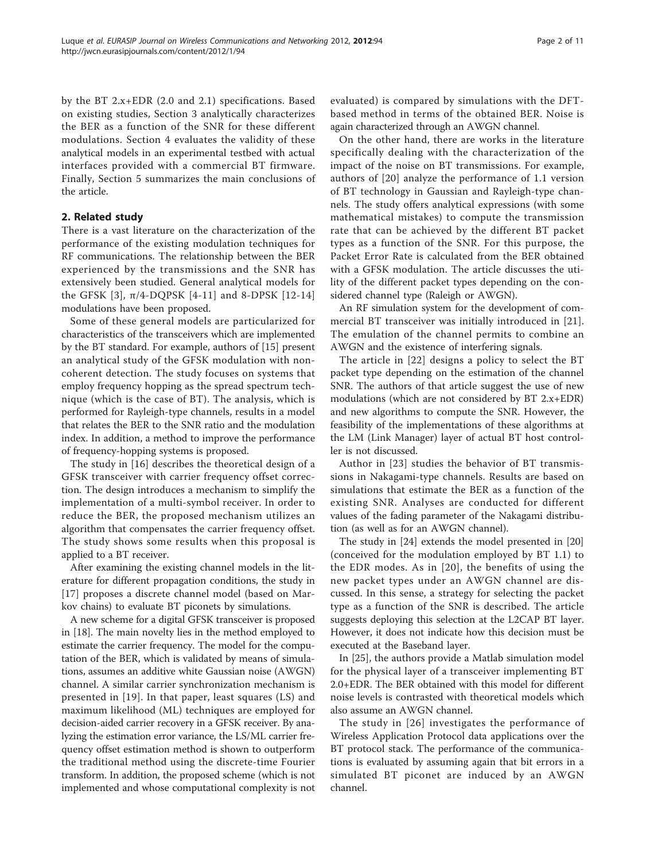by the BT 2.x+EDR (2.0 and 2.1) specifications. Based on existing studies, Section 3 analytically characterizes the BER as a function of the SNR for these different modulations. Section 4 evaluates the validity of these analytical models in an experimental testbed with actual interfaces provided with a commercial BT firmware. Finally, Section 5 summarizes the main conclusions of the article.

## 2. Related study

There is a vast literature on the characterization of the performance of the existing modulation techniques for RF communications. The relationship between the BER experienced by the transmissions and the SNR has extensively been studied. General analytical models for the GFSK [[3](#page-9-0)],  $π/4-DQPSK$  [[4-11\]](#page-9-0) and 8-DPSK [\[12](#page-9-0)-[14](#page-9-0)] modulations have been proposed.

Some of these general models are particularized for characteristics of the transceivers which are implemented by the BT standard. For example, authors of [\[15](#page-9-0)] present an analytical study of the GFSK modulation with noncoherent detection. The study focuses on systems that employ frequency hopping as the spread spectrum technique (which is the case of BT). The analysis, which is performed for Rayleigh-type channels, results in a model that relates the BER to the SNR ratio and the modulation index. In addition, a method to improve the performance of frequency-hopping systems is proposed.

The study in [[16](#page-9-0)] describes the theoretical design of a GFSK transceiver with carrier frequency offset correction. The design introduces a mechanism to simplify the implementation of a multi-symbol receiver. In order to reduce the BER, the proposed mechanism utilizes an algorithm that compensates the carrier frequency offset. The study shows some results when this proposal is applied to a BT receiver.

After examining the existing channel models in the literature for different propagation conditions, the study in [[17\]](#page-9-0) proposes a discrete channel model (based on Markov chains) to evaluate BT piconets by simulations.

A new scheme for a digital GFSK transceiver is proposed in [[18](#page-9-0)]. The main novelty lies in the method employed to estimate the carrier frequency. The model for the computation of the BER, which is validated by means of simulations, assumes an additive white Gaussian noise (AWGN) channel. A similar carrier synchronization mechanism is presented in [[19](#page-9-0)]. In that paper, least squares (LS) and maximum likelihood (ML) techniques are employed for decision-aided carrier recovery in a GFSK receiver. By analyzing the estimation error variance, the LS/ML carrier frequency offset estimation method is shown to outperform the traditional method using the discrete-time Fourier transform. In addition, the proposed scheme (which is not implemented and whose computational complexity is not

evaluated) is compared by simulations with the DFTbased method in terms of the obtained BER. Noise is again characterized through an AWGN channel.

On the other hand, there are works in the literature specifically dealing with the characterization of the impact of the noise on BT transmissions. For example, authors of [\[20](#page-9-0)] analyze the performance of 1.1 version of BT technology in Gaussian and Rayleigh-type channels. The study offers analytical expressions (with some mathematical mistakes) to compute the transmission rate that can be achieved by the different BT packet types as a function of the SNR. For this purpose, the Packet Error Rate is calculated from the BER obtained with a GFSK modulation. The article discusses the utility of the different packet types depending on the considered channel type (Raleigh or AWGN).

An RF simulation system for the development of commercial BT transceiver was initially introduced in [[21](#page-9-0)]. The emulation of the channel permits to combine an AWGN and the existence of interfering signals.

The article in [[22](#page-9-0)] designs a policy to select the BT packet type depending on the estimation of the channel SNR. The authors of that article suggest the use of new modulations (which are not considered by BT 2.x+EDR) and new algorithms to compute the SNR. However, the feasibility of the implementations of these algorithms at the LM (Link Manager) layer of actual BT host controller is not discussed.

Author in [\[23\]](#page-10-0) studies the behavior of BT transmissions in Nakagami-type channels. Results are based on simulations that estimate the BER as a function of the existing SNR. Analyses are conducted for different values of the fading parameter of the Nakagami distribution (as well as for an AWGN channel).

The study in [[24\]](#page-10-0) extends the model presented in [[20](#page-9-0)] (conceived for the modulation employed by BT 1.1) to the EDR modes. As in [[20\]](#page-9-0), the benefits of using the new packet types under an AWGN channel are discussed. In this sense, a strategy for selecting the packet type as a function of the SNR is described. The article suggests deploying this selection at the L2CAP BT layer. However, it does not indicate how this decision must be executed at the Baseband layer.

In [\[25](#page-10-0)], the authors provide a Matlab simulation model for the physical layer of a transceiver implementing BT 2.0+EDR. The BER obtained with this model for different noise levels is contrasted with theoretical models which also assume an AWGN channel.

The study in [[26\]](#page-10-0) investigates the performance of Wireless Application Protocol data applications over the BT protocol stack. The performance of the communications is evaluated by assuming again that bit errors in a simulated BT piconet are induced by an AWGN channel.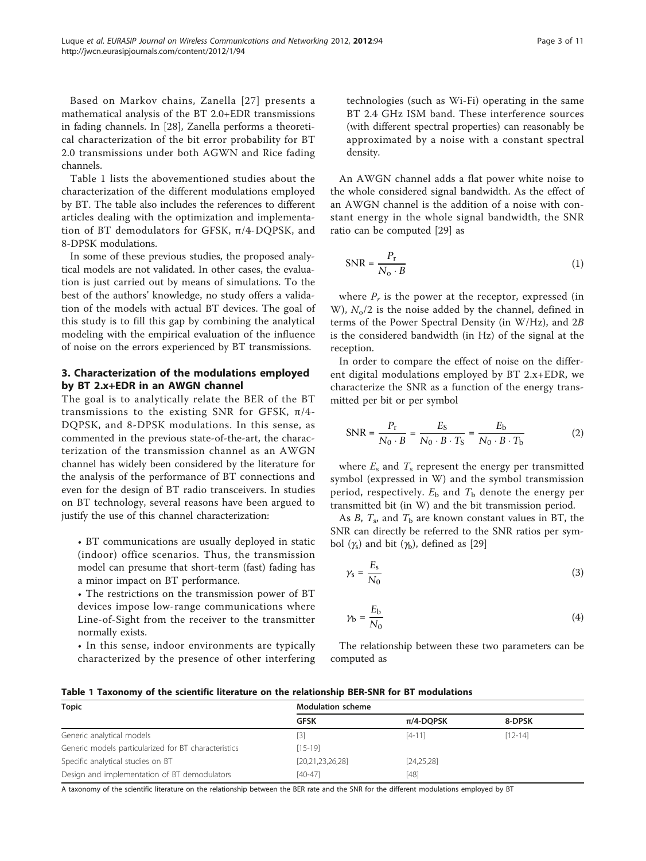Based on Markov chains, Zanella [[27](#page-10-0)] presents a mathematical analysis of the BT 2.0+EDR transmissions in fading channels. In [[28\]](#page-10-0), Zanella performs a theoretical characterization of the bit error probability for BT 2.0 transmissions under both AGWN and Rice fading channels.

Table 1 lists the abovementioned studies about the characterization of the different modulations employed by BT. The table also includes the references to different articles dealing with the optimization and implementation of BT demodulators for GFSK, π/4-DQPSK, and 8-DPSK modulations.

In some of these previous studies, the proposed analytical models are not validated. In other cases, the evaluation is just carried out by means of simulations. To the best of the authors' knowledge, no study offers a validation of the models with actual BT devices. The goal of this study is to fill this gap by combining the analytical modeling with the empirical evaluation of the influence of noise on the errors experienced by BT transmissions.

# 3. Characterization of the modulations employed by BT 2.x+EDR in an AWGN channel

The goal is to analytically relate the BER of the BT transmissions to the existing SNR for GFSK, π/4- DQPSK, and 8-DPSK modulations. In this sense, as commented in the previous state-of-the-art, the characterization of the transmission channel as an AWGN channel has widely been considered by the literature for the analysis of the performance of BT connections and even for the design of BT radio transceivers. In studies on BT technology, several reasons have been argued to justify the use of this channel characterization:

• BT communications are usually deployed in static (indoor) office scenarios. Thus, the transmission model can presume that short-term (fast) fading has a minor impact on BT performance.

• The restrictions on the transmission power of BT devices impose low-range communications where Line-of-Sight from the receiver to the transmitter normally exists.

• In this sense, indoor environments are typically characterized by the presence of other interfering technologies (such as Wi-Fi) operating in the same BT 2.4 GHz ISM band. These interference sources (with different spectral properties) can reasonably be approximated by a noise with a constant spectral density.

An AWGN channel adds a flat power white noise to the whole considered signal bandwidth. As the effect of an AWGN channel is the addition of a noise with constant energy in the whole signal bandwidth, the SNR ratio can be computed [\[29\]](#page-10-0) as

$$
SNR = \frac{P_{\rm r}}{N_{\rm o} \cdot B} \tag{1}
$$

where  $P_r$  is the power at the receptor, expressed (in W),  $N<sub>o</sub>/2$  is the noise added by the channel, defined in terms of the Power Spectral Density (in W/Hz), and 2B is the considered bandwidth (in Hz) of the signal at the reception.

In order to compare the effect of noise on the different digital modulations employed by BT 2.x+EDR, we characterize the SNR as a function of the energy transmitted per bit or per symbol

$$
SNR = \frac{P_{\rm r}}{N_0 \cdot B} = \frac{E_{\rm S}}{N_0 \cdot B \cdot T_{\rm S}} = \frac{E_{\rm b}}{N_0 \cdot B \cdot T_{\rm b}} \tag{2}
$$

where  $E_s$  and  $T_s$  represent the energy per transmitted symbol (expressed in W) and the symbol transmission period, respectively.  $E<sub>b</sub>$  and  $T<sub>b</sub>$  denote the energy per transmitted bit (in W) and the bit transmission period.

As B,  $T_s$ , and  $T_b$  are known constant values in BT, the SNR can directly be referred to the SNR ratios per symbol  $(\gamma_s)$  and bit  $(\gamma_b)$ , defined as [\[29](#page-10-0)]

$$
\gamma_{\rm s} = \frac{E_{\rm s}}{N_0} \tag{3}
$$

$$
\gamma_{\rm b} = \frac{E_{\rm b}}{N_0} \tag{4}
$$

The relationship between these two parameters can be computed as

|  |  | Table 1 Taxonomy of the scientific literature on the relationship BER-SNR for BT modulations |  |  |  |
|--|--|----------------------------------------------------------------------------------------------|--|--|--|
|--|--|----------------------------------------------------------------------------------------------|--|--|--|

| Topic                                                | <b>Modulation scheme</b> |                |           |  |
|------------------------------------------------------|--------------------------|----------------|-----------|--|
|                                                      | <b>GFSK</b>              | $\pi$ /4-DOPSK | 8-DPSK    |  |
| Generic analytical models                            | $\lceil 3 \rceil$        | $[4-11]$       | $[12-14]$ |  |
| Generic models particularized for BT characteristics | [15-19]                  |                |           |  |
| Specific analytical studies on BT                    | [20, 21, 23, 26, 28]     | [24,25,28]     |           |  |
| Design and implementation of BT demodulators         | $[40-47]$                | [48]           |           |  |

A taxonomy of the scientific literature on the relationship between the BER rate and the SNR for the different modulations employed by BT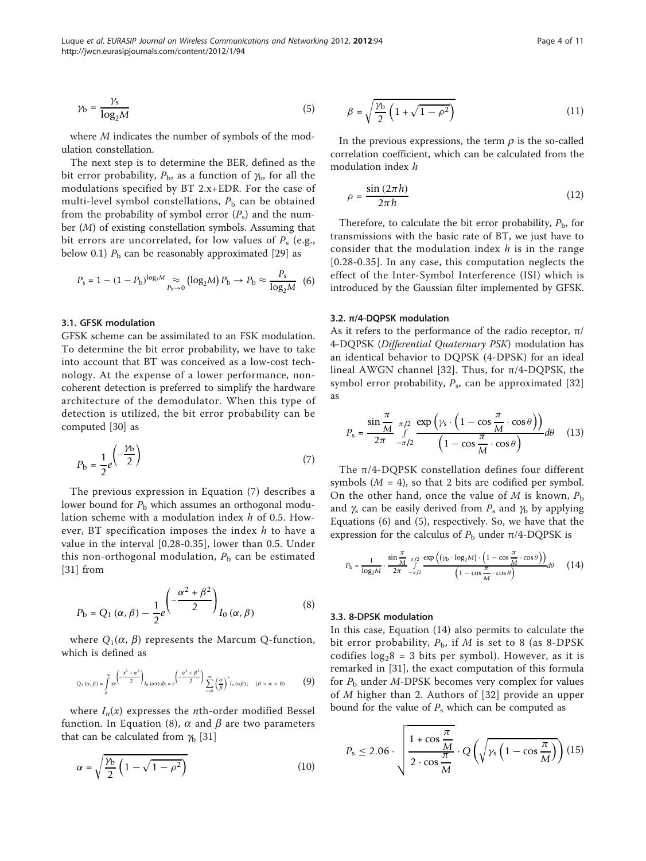$$
\gamma_{\rm b} = \frac{\gamma_{\rm s}}{\log_2 M} \tag{5}
$$

where *M* indicates the number of symbols of the modulation constellation.

The next step is to determine the BER, defined as the bit error probability,  $P_{\rm b}$ , as a function of  $\gamma_{\rm b}$ , for all the modulations specified by BT 2.x+EDR. For the case of multi-level symbol constellations,  $P<sub>b</sub>$  can be obtained from the probability of symbol error  $(P_s)$  and the number (M) of existing constellation symbols. Assuming that bit errors are uncorrelated, for low values of  $P_s$  (e.g., below 0.1)  $P<sub>b</sub>$  can be reasonably approximated [[29](#page-10-0)] as

$$
P_{\rm s} = 1 - (1 - P_{\rm b})^{\log_2 M} \underset{P_b \to 0}{\approx} (\log_2 M) P_{\rm b} \to P_{\rm b} \approx \frac{P_{\rm s}}{\log_2 M} \tag{6}
$$

#### 3.1. GFSK modulation

GFSK scheme can be assimilated to an FSK modulation. To determine the bit error probability, we have to take into account that BT was conceived as a low-cost technology. At the expense of a lower performance, noncoherent detection is preferred to simplify the hardware architecture of the demodulator. When this type of detection is utilized, the bit error probability can be computed [[30\]](#page-10-0) as

$$
P_{\rm b} = \frac{1}{2} e^{\left(-\frac{\gamma_{\rm b}}{2}\right)}\tag{7}
$$

The previous expression in Equation (7) describes a lower bound for  $P<sub>b</sub>$  which assumes an orthogonal modulation scheme with a modulation index  $h$  of 0.5. However, BT specification imposes the index  $h$  to have a value in the interval [0.28-0.35], lower than 0.5. Under this non-orthogonal modulation,  $P_b$  can be estimated [[31\]](#page-10-0) from

$$
P_{\rm b} = Q_1 \left( \alpha, \beta \right) - \frac{1}{2} e^{-\frac{\alpha^2 + \beta^2}{2}} I_0 \left( \alpha, \beta \right) \tag{8}
$$

where  $Q_1(\alpha, \beta)$  represents the Marcum Q-function, which is defined as

$$
Q_{1}\left(\alpha,\beta\right)=\int\limits_{\beta}^{\infty}xe^{\left(-\frac{x^{2}+\alpha^{2}}{2}\right)}I_{0}\left(\alpha x\right)dx=e^{\left(-\frac{\alpha^{2}+\beta^{2}}{2}\right)}\cdot\sum\limits_{n=0}^{\infty}\left(\frac{\alpha}{\beta}\right)^{n}I_{n}\left(\alpha\beta\right);\quad (\beta>\alpha>0)\tag{9}
$$

where  $I_n(x)$  expresses the *n*th-order modified Bessel function. In Equation (8),  $\alpha$  and  $\beta$  are two parameters that can be calculated from  $\gamma_b$  [[31\]](#page-10-0)

$$
\alpha = \sqrt{\frac{\gamma_{\rm b}}{2} \left( 1 - \sqrt{1 - \rho^2} \right)}\tag{10}
$$

$$
\beta = \sqrt{\frac{\gamma_b}{2} \left( 1 + \sqrt{1 - \rho^2} \right)}\tag{11}
$$

In the previous expressions, the term  $\rho$  is the so-called correlation coefficient, which can be calculated from the modulation index h

$$
\rho = \frac{\sin(2\pi h)}{2\pi h} \tag{12}
$$

Therefore, to calculate the bit error probability,  $P_{\rm b}$ , for transmissions with the basic rate of BT, we just have to consider that the modulation index  $h$  is in the range [0.28-0.35]. In any case, this computation neglects the effect of the Inter-Symbol Interference (ISI) which is introduced by the Gaussian filter implemented by GFSK.

#### 3.2. π/4-DQPSK modulation

As it refers to the performance of the radio receptor,  $\pi$ / 4-DQPSK (Differential Quaternary PSK) modulation has an identical behavior to DQPSK (4-DPSK) for an ideal lineal AWGN channel [\[32\]](#page-10-0). Thus, for  $π/4$ -DQPSK, the symbol error probability,  $P_s$ , can be approximated [\[32](#page-10-0)] as

$$
P_{\rm s} = \frac{\sin\frac{\pi}{M}}{2\pi} \int_{-\pi/2}^{\pi/2} \frac{\exp\left(\gamma_{\rm s} \cdot \left(1 - \cos\frac{\pi}{M} \cdot \cos\theta\right)\right)}{\left(1 - \cos\frac{\pi}{M} \cdot \cos\theta\right)} d\theta \quad (13)
$$

The π/4-DQPSK constellation defines four different symbols  $(M = 4)$ , so that 2 bits are codified per symbol. On the other hand, once the value of M is known,  $P_{\rm b}$ and  $\gamma_s$  can be easily derived from  $P_s$  and  $\gamma_b$  by applying Equations (6) and (5), respectively. So, we have that the expression for the calculus of  $P_b$  under  $\pi/4$ -DQPSK is

$$
P_{\rm b} = \frac{1}{\log_2 M} \cdot \frac{\sin \frac{\pi}{M}}{2\pi} \int\limits_{-\pi/2}^{\pi/2} \frac{\exp \left( (\gamma_{\rm b} \cdot \log_2 M) \cdot \left( 1 - \cos \frac{\pi}{M} \cdot \cos \theta \right) \right)}{\left( 1 - \cos \frac{\pi}{M} \cdot \cos \theta \right)} d\theta \qquad (14)
$$

#### 3.3. 8-DPSK modulation

In this case, Equation (14) also permits to calculate the bit error probability,  $P_{\rm b}$ , if M is set to 8 (as 8-DPSK codifies  $log_2 8 = 3$  bits per symbol). However, as it is remarked in [[31\]](#page-10-0), the exact computation of this formula for  $P<sub>b</sub>$  under M-DPSK becomes very complex for values of M higher than 2. Authors of [\[32\]](#page-10-0) provide an upper bound for the value of  $P_s$  which can be computed as

$$
P_s \le 2.06 \cdot \sqrt{\frac{1 + \cos \frac{\pi}{M}}{2 \cdot \cos \frac{\pi}{M}}} \cdot Q\left(\sqrt{\gamma_s \left(1 - \cos \frac{\pi}{M}\right)}\right) (15)
$$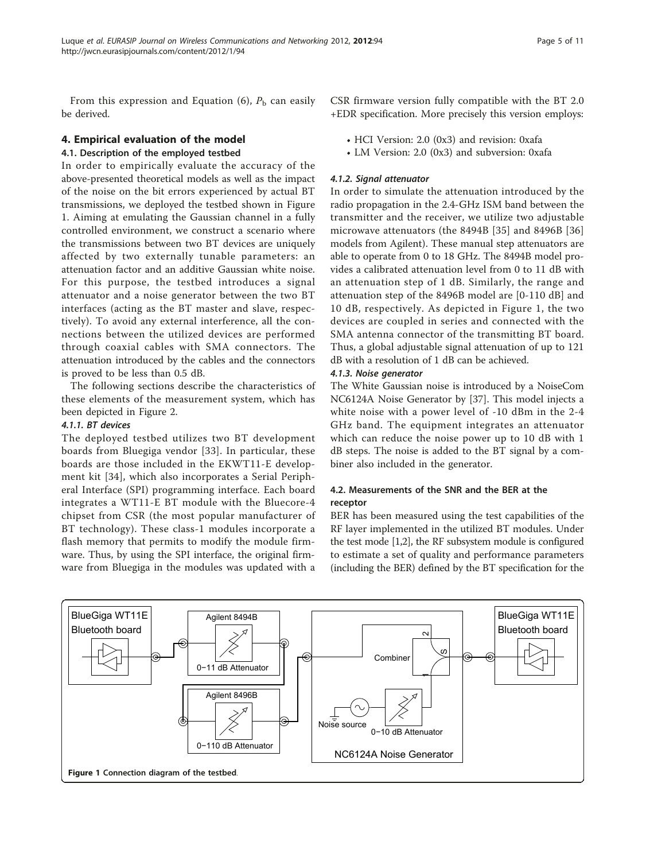From this expression and Equation (6),  $P<sub>b</sub>$  can easily be derived.

#### 4. Empirical evaluation of the model

#### 4.1. Description of the employed testbed

In order to empirically evaluate the accuracy of the above-presented theoretical models as well as the impact of the noise on the bit errors experienced by actual BT transmissions, we deployed the testbed shown in Figure 1. Aiming at emulating the Gaussian channel in a fully controlled environment, we construct a scenario where the transmissions between two BT devices are uniquely affected by two externally tunable parameters: an attenuation factor and an additive Gaussian white noise. For this purpose, the testbed introduces a signal attenuator and a noise generator between the two BT interfaces (acting as the BT master and slave, respectively). To avoid any external interference, all the connections between the utilized devices are performed through coaxial cables with SMA connectors. The attenuation introduced by the cables and the connectors is proved to be less than 0.5 dB.

The following sections describe the characteristics of these elements of the measurement system, which has been depicted in Figure [2.](#page-5-0)

#### 4.1.1. BT devices

The deployed testbed utilizes two BT development boards from Bluegiga vendor [[33](#page-10-0)]. In particular, these boards are those included in the EKWT11-E development kit [[34](#page-10-0)], which also incorporates a Serial Peripheral Interface (SPI) programming interface. Each board integrates a WT11-E BT module with the Bluecore-4 chipset from CSR (the most popular manufacturer of BT technology). These class-1 modules incorporate a flash memory that permits to modify the module firmware. Thus, by using the SPI interface, the original firmware from Bluegiga in the modules was updated with a

CSR firmware version fully compatible with the BT 2.0 +EDR specification. More precisely this version employs:

- HCI Version: 2.0 (0x3) and revision: 0xafa
- LM Version: 2.0 (0x3) and subversion: 0xafa

#### 4.1.2. Signal attenuator

In order to simulate the attenuation introduced by the radio propagation in the 2.4-GHz ISM band between the transmitter and the receiver, we utilize two adjustable microwave attenuators (the 8494B [\[35](#page-10-0)] and 8496B [[36](#page-10-0)] models from Agilent). These manual step attenuators are able to operate from 0 to 18 GHz. The 8494B model provides a calibrated attenuation level from 0 to 11 dB with an attenuation step of 1 dB. Similarly, the range and attenuation step of the 8496B model are [0-110 dB] and 10 dB, respectively. As depicted in Figure 1, the two devices are coupled in series and connected with the SMA antenna connector of the transmitting BT board. Thus, a global adjustable signal attenuation of up to 121 dB with a resolution of 1 dB can be achieved.

#### 4.1.3. Noise generator

The White Gaussian noise is introduced by a NoiseCom NC6124A Noise Generator by [\[37\]](#page-10-0). This model injects a white noise with a power level of -10 dBm in the 2-4 GHz band. The equipment integrates an attenuator which can reduce the noise power up to 10 dB with 1 dB steps. The noise is added to the BT signal by a combiner also included in the generator.

# 4.2. Measurements of the SNR and the BER at the receptor

BER has been measured using the test capabilities of the RF layer implemented in the utilized BT modules. Under the test mode [\[1,2\]](#page-9-0), the RF subsystem module is configured to estimate a set of quality and performance parameters (including the BER) defined by the BT specification for the

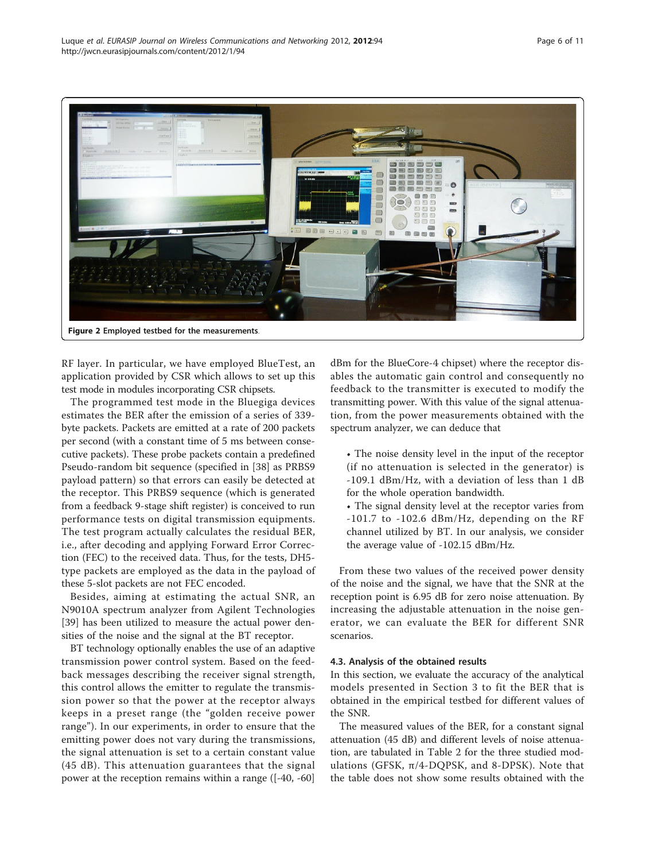<span id="page-5-0"></span>

RF layer. In particular, we have employed BlueTest, an application provided by CSR which allows to set up this test mode in modules incorporating CSR chipsets.

The programmed test mode in the Bluegiga devices estimates the BER after the emission of a series of 339 byte packets. Packets are emitted at a rate of 200 packets per second (with a constant time of 5 ms between consecutive packets). These probe packets contain a predefined Pseudo-random bit sequence (specified in [[38\]](#page-10-0) as PRBS9 payload pattern) so that errors can easily be detected at the receptor. This PRBS9 sequence (which is generated from a feedback 9-stage shift register) is conceived to run performance tests on digital transmission equipments. The test program actually calculates the residual BER, i.e., after decoding and applying Forward Error Correction (FEC) to the received data. Thus, for the tests, DH5 type packets are employed as the data in the payload of these 5-slot packets are not FEC encoded.

Besides, aiming at estimating the actual SNR, an N9010A spectrum analyzer from Agilent Technologies [[39\]](#page-10-0) has been utilized to measure the actual power densities of the noise and the signal at the BT receptor.

BT technology optionally enables the use of an adaptive transmission power control system. Based on the feedback messages describing the receiver signal strength, this control allows the emitter to regulate the transmission power so that the power at the receptor always keeps in a preset range (the "golden receive power range"). In our experiments, in order to ensure that the emitting power does not vary during the transmissions, the signal attenuation is set to a certain constant value (45 dB). This attenuation guarantees that the signal power at the reception remains within a range ([-40, -60]

dBm for the BlueCore-4 chipset) where the receptor disables the automatic gain control and consequently no feedback to the transmitter is executed to modify the transmitting power. With this value of the signal attenuation, from the power measurements obtained with the spectrum analyzer, we can deduce that

- The noise density level in the input of the receptor (if no attenuation is selected in the generator) is -109.1 dBm/Hz, with a deviation of less than 1 dB for the whole operation bandwidth.
- The signal density level at the receptor varies from -101.7 to -102.6 dBm/Hz, depending on the RF channel utilized by BT. In our analysis, we consider the average value of -102.15 dBm/Hz.

From these two values of the received power density of the noise and the signal, we have that the SNR at the reception point is 6.95 dB for zero noise attenuation. By increasing the adjustable attenuation in the noise generator, we can evaluate the BER for different SNR scenarios.

#### 4.3. Analysis of the obtained results

In this section, we evaluate the accuracy of the analytical models presented in Section 3 to fit the BER that is obtained in the empirical testbed for different values of the SNR.

The measured values of the BER, for a constant signal attenuation (45 dB) and different levels of noise attenuation, are tabulated in Table [2](#page-6-0) for the three studied modulations (GFSK,  $π/4$ -DQPSK, and 8-DPSK). Note that the table does not show some results obtained with the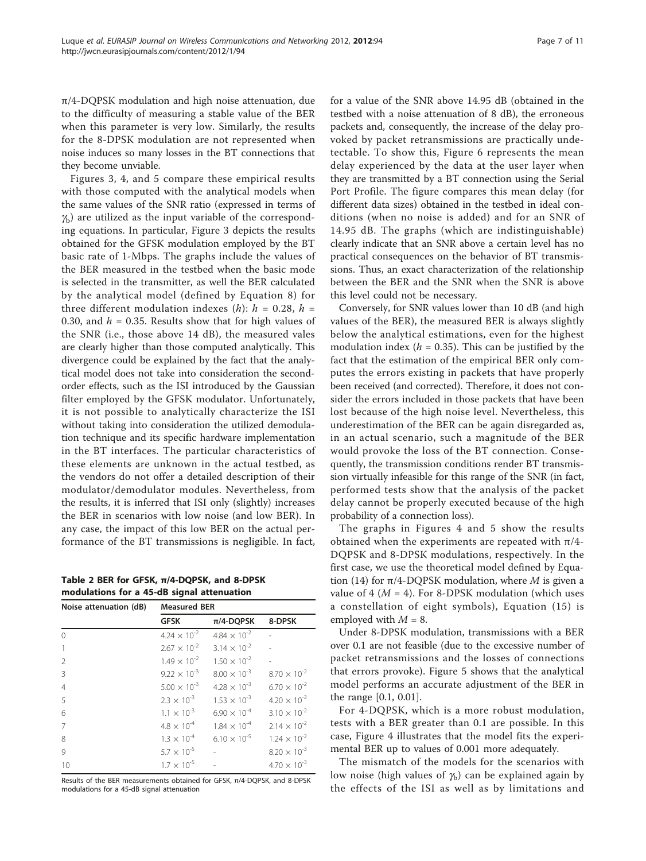<span id="page-6-0"></span>π/4-DQPSK modulation and high noise attenuation, due to the difficulty of measuring a stable value of the BER when this parameter is very low. Similarly, the results for the 8-DPSK modulation are not represented when noise induces so many losses in the BT connections that they become unviable.

Figures [3](#page-7-0), [4](#page-7-0), and [5](#page-8-0) compare these empirical results with those computed with the analytical models when the same values of the SNR ratio (expressed in terms of  $\gamma_b$ ) are utilized as the input variable of the corresponding equations. In particular, Figure [3](#page-7-0) depicts the results obtained for the GFSK modulation employed by the BT basic rate of 1-Mbps. The graphs include the values of the BER measured in the testbed when the basic mode is selected in the transmitter, as well the BER calculated by the analytical model (defined by Equation 8) for three different modulation indexes (h):  $h = 0.28$ ,  $h =$ 0.30, and  $h = 0.35$ . Results show that for high values of the SNR (i.e., those above 14 dB), the measured vales are clearly higher than those computed analytically. This divergence could be explained by the fact that the analytical model does not take into consideration the secondorder effects, such as the ISI introduced by the Gaussian filter employed by the GFSK modulator. Unfortunately, it is not possible to analytically characterize the ISI without taking into consideration the utilized demodulation technique and its specific hardware implementation in the BT interfaces. The particular characteristics of these elements are unknown in the actual testbed, as the vendors do not offer a detailed description of their modulator/demodulator modules. Nevertheless, from the results, it is inferred that ISI only (slightly) increases the BER in scenarios with low noise (and low BER). In any case, the impact of this low BER on the actual performance of the BT transmissions is negligible. In fact,

Table 2 BER for GFSK, π/4-DQPSK, and 8-DPSK modulations for a 45-dB signal attenuation

| Noise attenuation (dB) | <b>Measured BER</b>   |                       |                       |  |
|------------------------|-----------------------|-----------------------|-----------------------|--|
|                        | <b>GFSK</b>           | $\pi$ /4-DQPSK        | 8-DPSK                |  |
| $\Omega$               | $4.24 \times 10^{-2}$ | $4.84 \times 10^{-2}$ |                       |  |
|                        | $2.67 \times 10^{-2}$ | $3.14 \times 10^{-2}$ |                       |  |
| $\mathcal{L}$          | $1.49 \times 10^{-2}$ | $1.50 \times 10^{-2}$ |                       |  |
| 3                      | $9.22 \times 10^{-3}$ | $8.00 \times 10^{-3}$ | $8.70 \times 10^{-2}$ |  |
| $\overline{4}$         | $5.00 \times 10^{-3}$ | $4.28 \times 10^{-3}$ | $6.70 \times 10^{-2}$ |  |
| $\overline{5}$         | $2.3 \times 10^{-3}$  | $1.53 \times 10^{-3}$ | $4.20 \times 10^{-2}$ |  |
| 6                      | $1.1 \times 10^{-3}$  | $6.90 \times 10^{-4}$ | $3.10 \times 10^{-2}$ |  |
|                        | $4.8 \times 10^{-4}$  | $1.84 \times 10^{-4}$ | $2.14 \times 10^{-2}$ |  |
| 8                      | $1.3 \times 10^{-4}$  | $6.10 \times 10^{-5}$ | $1.24 \times 10^{-2}$ |  |
| $\mathsf{Q}$           | $5.7 \times 10^{-5}$  |                       | $8.20 \times 10^{-3}$ |  |
| 10                     | $1.7 \times 10^{-5}$  |                       | $4.70 \times 10^{-3}$ |  |

Results of the BER measurements obtained for GFSK, π/4-DQPSK, and 8-DPSK modulations for a 45-dB signal attenuation

for a value of the SNR above 14.95 dB (obtained in the testbed with a noise attenuation of 8 dB), the erroneous packets and, consequently, the increase of the delay provoked by packet retransmissions are practically undetectable. To show this, Figure [6](#page-8-0) represents the mean delay experienced by the data at the user layer when they are transmitted by a BT connection using the Serial Port Profile. The figure compares this mean delay (for different data sizes) obtained in the testbed in ideal conditions (when no noise is added) and for an SNR of 14.95 dB. The graphs (which are indistinguishable) clearly indicate that an SNR above a certain level has no practical consequences on the behavior of BT transmissions. Thus, an exact characterization of the relationship between the BER and the SNR when the SNR is above this level could not be necessary.

Conversely, for SNR values lower than 10 dB (and high values of the BER), the measured BER is always slightly below the analytical estimations, even for the highest modulation index ( $h = 0.35$ ). This can be justified by the fact that the estimation of the empirical BER only computes the errors existing in packets that have properly been received (and corrected). Therefore, it does not consider the errors included in those packets that have been lost because of the high noise level. Nevertheless, this underestimation of the BER can be again disregarded as, in an actual scenario, such a magnitude of the BER would provoke the loss of the BT connection. Consequently, the transmission conditions render BT transmission virtually infeasible for this range of the SNR (in fact, performed tests show that the analysis of the packet delay cannot be properly executed because of the high probability of a connection loss).

The graphs in Figures [4](#page-7-0) and [5](#page-8-0) show the results obtained when the experiments are repeated with π/4- DQPSK and 8-DPSK modulations, respectively. In the first case, we use the theoretical model defined by Equation (14) for  $π/4$ -DQPSK modulation, where *M* is given a value of 4 ( $M = 4$ ). For 8-DPSK modulation (which uses a constellation of eight symbols), Equation (15) is employed with  $M = 8$ .

Under 8-DPSK modulation, transmissions with a BER over 0.1 are not feasible (due to the excessive number of packet retransmissions and the losses of connections that errors provoke). Figure [5](#page-8-0) shows that the analytical model performs an accurate adjustment of the BER in the range [0.1, 0.01].

For 4-DQPSK, which is a more robust modulation, tests with a BER greater than 0.1 are possible. In this case, Figure [4](#page-7-0) illustrates that the model fits the experimental BER up to values of 0.001 more adequately.

The mismatch of the models for the scenarios with low noise (high values of  $\gamma_b$ ) can be explained again by the effects of the ISI as well as by limitations and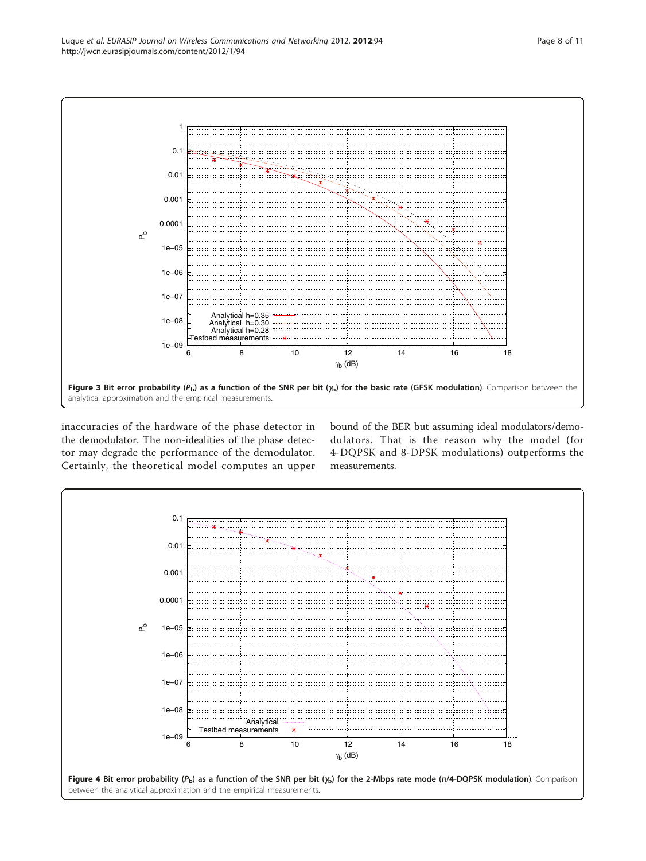<span id="page-7-0"></span>

inaccuracies of the hardware of the phase detector in the demodulator. The non-idealities of the phase detector may degrade the performance of the demodulator. Certainly, the theoretical model computes an upper bound of the BER but assuming ideal modulators/demodulators. That is the reason why the model (for 4-DQPSK and 8-DPSK modulations) outperforms the measurements.

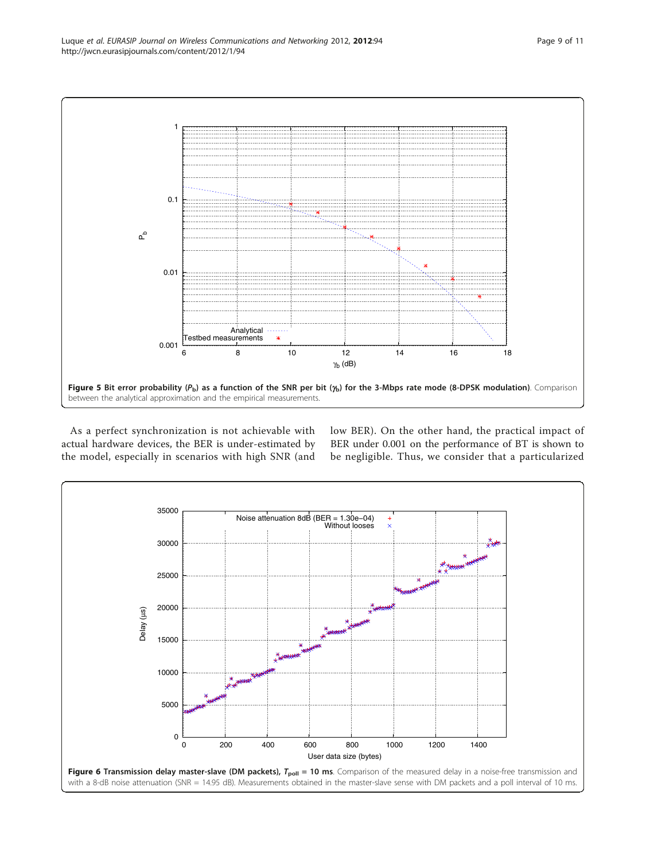<span id="page-8-0"></span>

As a perfect synchronization is not achievable with actual hardware devices, the BER is under-estimated by the model, especially in scenarios with high SNR (and low BER). On the other hand, the practical impact of BER under 0.001 on the performance of BT is shown to be negligible. Thus, we consider that a particularized

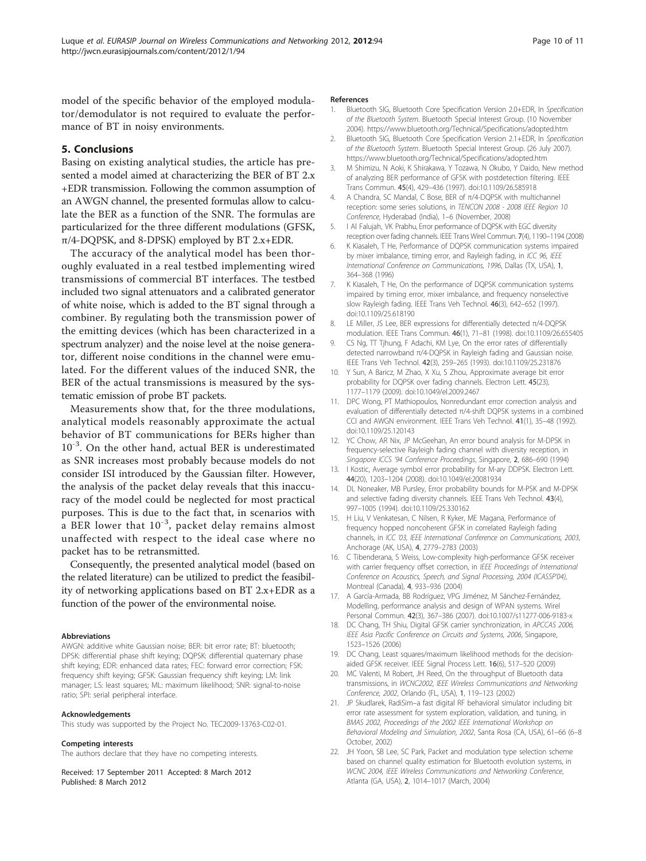<span id="page-9-0"></span>model of the specific behavior of the employed modulator/demodulator is not required to evaluate the performance of BT in noisy environments.

#### 5. Conclusions

Basing on existing analytical studies, the article has presented a model aimed at characterizing the BER of BT 2.x +EDR transmission. Following the common assumption of an AWGN channel, the presented formulas allow to calculate the BER as a function of the SNR. The formulas are particularized for the three different modulations (GFSK,  $\pi$ /4-DQPSK, and 8-DPSK) employed by BT 2.x+EDR.

The accuracy of the analytical model has been thoroughly evaluated in a real testbed implementing wired transmissions of commercial BT interfaces. The testbed included two signal attenuators and a calibrated generator of white noise, which is added to the BT signal through a combiner. By regulating both the transmission power of the emitting devices (which has been characterized in a spectrum analyzer) and the noise level at the noise generator, different noise conditions in the channel were emulated. For the different values of the induced SNR, the BER of the actual transmissions is measured by the systematic emission of probe BT packets.

Measurements show that, for the three modulations, analytical models reasonably approximate the actual behavior of BT communications for BERs higher than  $10^{-3}$ . On the other hand, actual BER is underestimated as SNR increases most probably because models do not consider ISI introduced by the Gaussian filter. However, the analysis of the packet delay reveals that this inaccuracy of the model could be neglected for most practical purposes. This is due to the fact that, in scenarios with a BER lower that  $10^{-3}$ , packet delay remains almost unaffected with respect to the ideal case where no packet has to be retransmitted.

Consequently, the presented analytical model (based on the related literature) can be utilized to predict the feasibility of networking applications based on BT 2.x+EDR as a function of the power of the environmental noise.

#### Abbreviations

AWGN: additive white Gaussian noise; BER: bit error rate; BT: bluetooth; DPSK: differential phase shift keying; DQPSK: differential quaternary phase shift keying; EDR: enhanced data rates; FEC: forward error correction; FSK: frequency shift keying; GFSK: Gaussian frequency shift keying; LM: link manager; LS: least squares; ML: maximum likelihood; SNR: signal-to-noise ratio; SPI: serial peripheral interface.

#### Acknowledgements

This study was supported by the Project No. TEC2009-13763-C02-01.

#### Competing interests

The authors declare that they have no competing interests.

Received: 17 September 2011 Accepted: 8 March 2012 Published: 8 March 2012

#### References

- 1. Bluetooth SIG, Bluetooth Core Specification Version 2.0+EDR, In Specification of the Bluetooth System. Bluetooth Special Interest Group. (10 November 2004).<https://www.bluetooth.org/Technical/Specifications/adopted.htm>
- 2. Bluetooth SIG, Bluetooth Core Specification Version 2.1+EDR, In Specification of the Bluetooth System. Bluetooth Special Interest Group. (26 July 2007). <https://www.bluetooth.org/Technical/Specifications/adopted.htm>
- 3. M Shimizu, N Aoki, K Shirakawa, Y Tozawa, N Okubo, Y Daido, New method of analyzing BER performance of GFSK with postdetection filtering. IEEE Trans Commun. 45(4), 429–436 (1997). doi:10.1109/26.585918
- 4. A Chandra, SC Mandal, C Bose, BER of π/4-DQPSK with multichannel reception: some series solutions, in TENCON 2008 - 2008 IEEE Region 10 Conference, Hyderabad (India), 1–6 (November, 2008)
- 5. I Al Falujah, VK Prabhu, Error performance of DQPSK with EGC diversity reception over fading channels. IEEE Trans Wirel Commun. 7(4), 1190–1194 (2008)
- 6. K Kiasaleh, T He, Performance of DQPSK communication systems impaired by mixer imbalance, timing error, and Rayleigh fading, in ICC 96, IEEE International Conference on Communications, 1996, Dallas (TX, USA), 1, 364–368 (1996)
- 7. K Kiasaleh, T He, On the performance of DQPSK communication systems impaired by timing error, mixer imbalance, and frequency nonselective slow Rayleigh fading. IEEE Trans Veh Technol. 46(3), 642–652 (1997). doi:10.1109/25.618190
- 8. LE Miller, JS Lee, BER expressions for differentially detected π/4-DQPSK modulation. IEEE Trans Commun. 46(1), 71–81 (1998). doi:10.1109/26.655405
- 9. CS Ng, TT Tjhung, F Adachi, KM Lye, On the error rates of differentially detected narrowband π/4-DQPSK in Rayleigh fading and Gaussian noise. IEEE Trans Veh Technol. 42(3), 259–265 (1993). doi:10.1109/25.231876
- 10. Y Sun, A Baricz, M Zhao, X Xu, S Zhou, Approximate average bit error probability for DQPSK over fading channels. Electron Lett. 45(23), 1177–1179 (2009). doi:10.1049/el.2009.2467
- 11. DPC Wong, PT Mathiopoulos, Nonredundant error correction analysis and evaluation of differentially detected π/4-shift DQPSK systems in a combined CCI and AWGN environment. IEEE Trans Veh Technol. 41(1), 35–48 (1992). doi:10.1109/25.120143
- 12. YC Chow, AR Nix, JP McGeehan[, An error bound analysis for M-DPSK in](http://www.ncbi.nlm.nih.gov/pubmed/22004172?dopt=Abstract) [frequency-selective Rayleigh fading channel with diversity reception,](http://www.ncbi.nlm.nih.gov/pubmed/22004172?dopt=Abstract) in Singapore ICCS '94 Conference Proceedings, Singapore, 2, 686–690 (1994)
- 13. I Kostic, Average symbol error probability for M-ary DDPSK. Electron Lett. 44(20), 1203–1204 (2008). doi:10.1049/el:20081934
- 14. DL Noneaker, MB Pursley, Error probability bounds for M-PSK and M-DPSK and selective fading diversity channels. IEEE Trans Veh Technol. 43(4), 997–1005 (1994). doi:10.1109/25.330162
- 15. H Liu, V Venkatesan, C Nilsen, R Kyker, ME Magana[, Performance of](http://www.ncbi.nlm.nih.gov/pubmed/22403167?dopt=Abstract) [frequency hopped noncoherent GFSK in correlated Rayleigh fading](http://www.ncbi.nlm.nih.gov/pubmed/22403167?dopt=Abstract) [channels,](http://www.ncbi.nlm.nih.gov/pubmed/22403167?dopt=Abstract) in ICC '03, IEEE International Conference on Communications, 2003, Anchorage (AK, USA), 4, 2779–2783 (2003)
- 16. C Tibenderana, S Weiss, Low-complexity high-performance GFSK receiver with carrier frequency offset correction, in IEEE Proceedings of International Conference on Acoustics, Speech, and Signal Processing, 2004 (ICASSP'04), Montreal (Canada), 4, 933–936 (2004)
- 17. A García-Armada, BB Rodríguez, VPG Jiménez, M Sánchez-Fernández, Modelling, performance analysis and design of WPAN systems. Wirel Personal Commun. 42(3), 367–386 (2007). doi:10.1007/s11277-006-9183-x
- 18. DC Chang, TH Shiu, Digital GFSK carrier synchronization, in APCCAS 2006, IEEE Asia Pacific Conference on Circuits and Systems, 2006, Singapore, 1523–1526 (2006)
- 19. DC Chang, Least squares/maximum likelihood methods for the decisionaided GFSK receiver. IEEE Signal Process Lett. 16(6), 517–520 (2009)
- 20. MC Valenti, M Robert, JH Reed, On the throughput of Bluetooth data transmissions, in WCNC2002, IEEE Wireless Communications and Networking Conference, 2002, Orlando (FL, USA), 1, 119–123 (2002)
- 21. JP Skudlarek, RadiSim–a fast digital RF behavioral simulator including bit error rate assessment for system exploration, validation, and tuning, in BMAS 2002, Proceedings of the 2002 IEEE International Workshop on Behavioral Modeling and Simulation, 2002, Santa Rosa (CA, USA), 61–66 (6–8 October, 2002)
- 22. JH Yoon, SB Lee, SC Park, Packet and modulation type selection scheme based on channel quality estimation for Bluetooth evolution systems, in WCNC 2004, IEEE Wireless Communications and Networking Conference, Atlanta (GA, USA), 2, 1014–1017 (March, 2004)